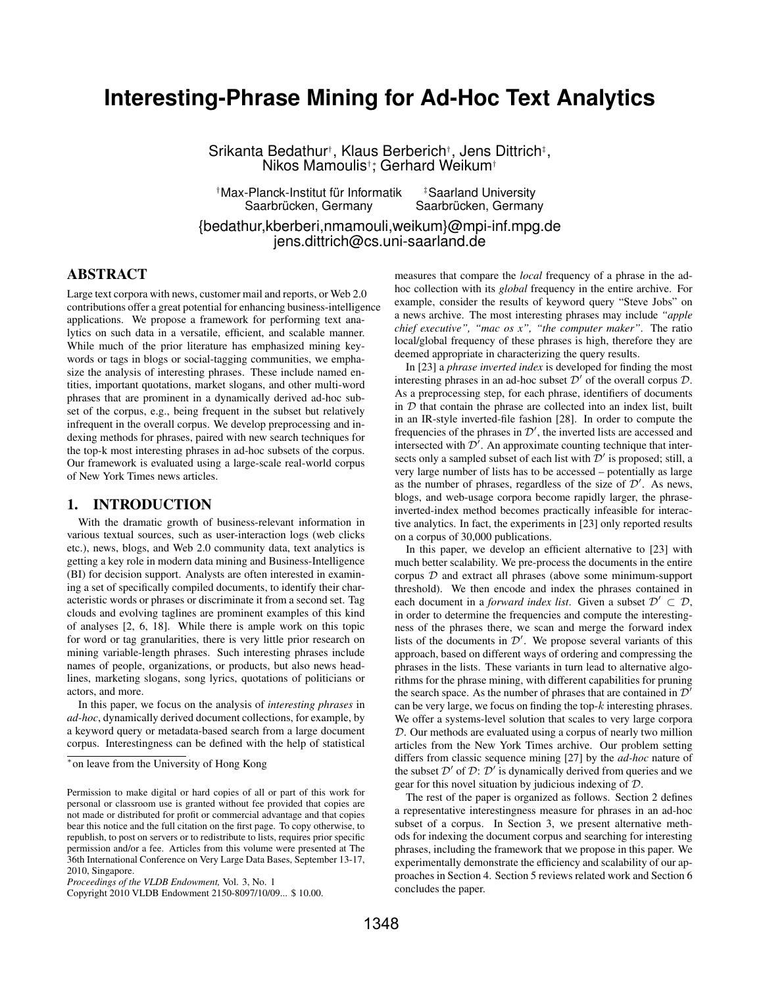# **Interesting-Phrase Mining for Ad-Hoc Text Analytics**

Srikanta Bedathur†, Klaus Berberich†, Jens Dittrich‡, Nikos Mamoulis<sup>†</sup>; Gerhard Weikum<sup>†</sup>

†Max-Planck-Institut für Informatik ‡Saarland University

Saarbrücken, Germany Saarbrücken, Germany

{bedathur,kberberi,nmamouli,weikum}@mpi-inf.mpg.de jens.dittrich@cs.uni-saarland.de

# ABSTRACT

Large text corpora with news, customer mail and reports, or Web 2.0 contributions offer a great potential for enhancing business-intelligence applications. We propose a framework for performing text analytics on such data in a versatile, efficient, and scalable manner. While much of the prior literature has emphasized mining keywords or tags in blogs or social-tagging communities, we emphasize the analysis of interesting phrases. These include named entities, important quotations, market slogans, and other multi-word phrases that are prominent in a dynamically derived ad-hoc subset of the corpus, e.g., being frequent in the subset but relatively infrequent in the overall corpus. We develop preprocessing and indexing methods for phrases, paired with new search techniques for the top-k most interesting phrases in ad-hoc subsets of the corpus. Our framework is evaluated using a large-scale real-world corpus of New York Times news articles.

### 1. INTRODUCTION

With the dramatic growth of business-relevant information in various textual sources, such as user-interaction logs (web clicks etc.), news, blogs, and Web 2.0 community data, text analytics is getting a key role in modern data mining and Business-Intelligence (BI) for decision support. Analysts are often interested in examining a set of specifically compiled documents, to identify their characteristic words or phrases or discriminate it from a second set. Tag clouds and evolving taglines are prominent examples of this kind of analyses [2, 6, 18]. While there is ample work on this topic for word or tag granularities, there is very little prior research on mining variable-length phrases. Such interesting phrases include names of people, organizations, or products, but also news headlines, marketing slogans, song lyrics, quotations of politicians or actors, and more.

In this paper, we focus on the analysis of *interesting phrases* in *ad-hoc*, dynamically derived document collections, for example, by a keyword query or metadata-based search from a large document corpus. Interestingness can be defined with the help of statistical

measures that compare the *local* frequency of a phrase in the adhoc collection with its *global* frequency in the entire archive. For example, consider the results of keyword query "Steve Jobs" on a news archive. The most interesting phrases may include *"apple chief executive", "mac os x", "the computer maker"*. The ratio local/global frequency of these phrases is high, therefore they are deemed appropriate in characterizing the query results.

In [23] a *phrase inverted index* is developed for finding the most interesting phrases in an ad-hoc subset  $\mathcal{D}'$  of the overall corpus  $\mathcal{D}$ . As a preprocessing step, for each phrase, identifiers of documents in  $D$  that contain the phrase are collected into an index list, built in an IR-style inverted-file fashion [28]. In order to compute the frequencies of the phrases in  $\mathcal{D}'$ , the inverted lists are accessed and intersected with  $\mathcal{D}'$ . An approximate counting technique that intersects only a sampled subset of each list with  $\mathcal{D}'$  is proposed; still, a very large number of lists has to be accessed – potentially as large as the number of phrases, regardless of the size of  $\mathcal{D}'$ . As news, blogs, and web-usage corpora become rapidly larger, the phraseinverted-index method becomes practically infeasible for interactive analytics. In fact, the experiments in [23] only reported results on a corpus of 30,000 publications.

In this paper, we develop an efficient alternative to [23] with much better scalability. We pre-process the documents in the entire corpus  $D$  and extract all phrases (above some minimum-support threshold). We then encode and index the phrases contained in each document in a *forward index list*. Given a subset  $\mathcal{D}' \subset \mathcal{D}$ , in order to determine the frequencies and compute the interestingness of the phrases there, we scan and merge the forward index lists of the documents in  $\mathcal{D}'$ . We propose several variants of this approach, based on different ways of ordering and compressing the phrases in the lists. These variants in turn lead to alternative algorithms for the phrase mining, with different capabilities for pruning the search space. As the number of phrases that are contained in  $\mathcal{D}'$ can be very large, we focus on finding the top- $k$  interesting phrases. We offer a systems-level solution that scales to very large corpora D. Our methods are evaluated using a corpus of nearly two million articles from the New York Times archive. Our problem setting differs from classic sequence mining [27] by the *ad-hoc* nature of the subset  $\mathcal{D}'$  of  $\mathcal{D}: \mathcal{D}'$  is dynamically derived from queries and we gear for this novel situation by judicious indexing of D.

The rest of the paper is organized as follows. Section 2 defines a representative interestingness measure for phrases in an ad-hoc subset of a corpus. In Section 3, we present alternative methods for indexing the document corpus and searching for interesting phrases, including the framework that we propose in this paper. We experimentally demonstrate the efficiency and scalability of our approaches in Section 4. Section 5 reviews related work and Section 6 concludes the paper.

<sup>∗</sup>on leave from the University of Hong Kong

Permission to make digital or hard copies of all or part of this work for personal or classroom use is granted without fee provided that copies are not made or distributed for profit or commercial advantage and that copies bear this notice and the full citation on the first page. To copy otherwise, to republish, to post on servers or to redistribute to lists, requires prior specific permission and/or a fee. Articles from this volume were presented at The 36th International Conference on Very Large Data Bases, September 13-17, 2010, Singapore.

*Proceedings of the VLDB Endowment,* Vol. 3, No. 1

Copyright 2010 VLDB Endowment 2150-8097/10/09... \$ 10.00.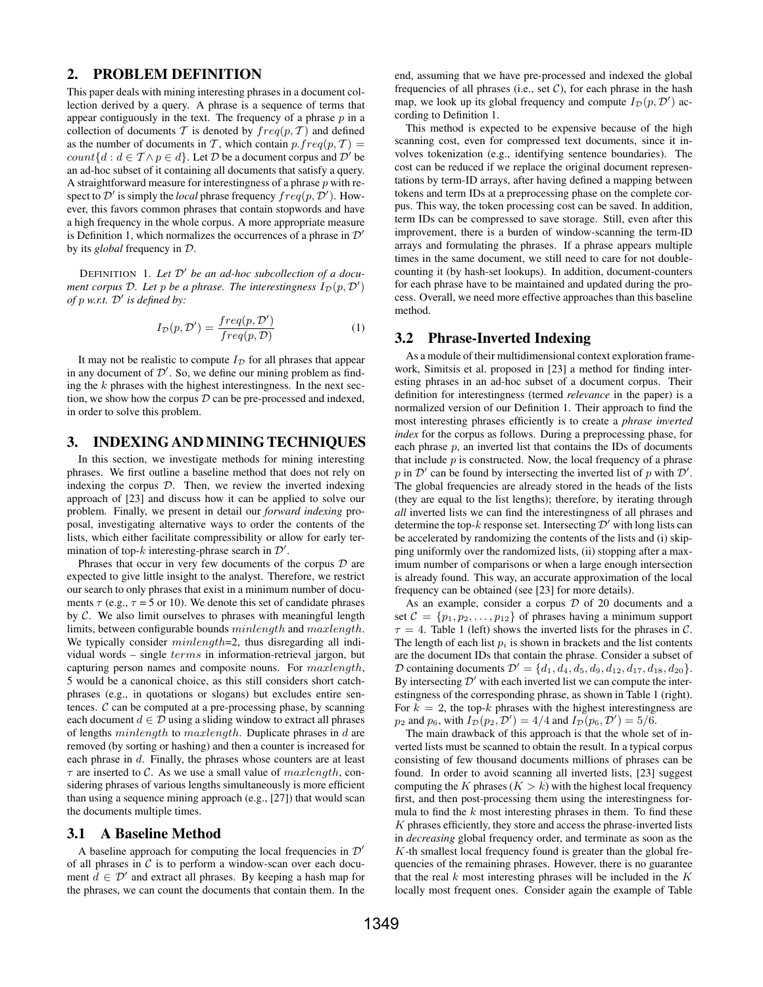### 2. PROBLEM DEFINITION

This paper deals with mining interesting phrases in a document collection derived by a query. A phrase is a sequence of terms that appear contiguously in the text. The frequency of a phrase  $p$  in a collection of documents T is denoted by  $freq(p, T)$  and defined as the number of documents in T, which contain  $p.freq(p, T) =$ *count* $\{d : d \in \mathcal{T} \land p \in d\}$ . Let  $\mathcal{D}$  be a document corpus and  $\mathcal{D}'$  be an ad-hoc subset of it containing all documents that satisfy a query. A straightforward measure for interestingness of a phrase  $p$  with respect to  $\mathcal{D}'$  is simply the *local* phrase frequency  $freq(p, \mathcal{D}')$ . However, this favors common phrases that contain stopwords and have a high frequency in the whole corpus. A more appropriate measure is Definition 1, which normalizes the occurrences of a phrase in  $\mathcal{D}'$ by its *global* frequency in D.

DEFINITION 1. *Let* D" *be an ad-hoc subcollection of a document corpus*  $D$ *. Let*  $p$  *be a phrase. The interestingness*  $I_D(p, D')$ *of* p *w.r.t.* D" *is defined by:*

$$
I_{\mathcal{D}}(p, \mathcal{D}') = \frac{freq(p, \mathcal{D}')}{freq(p, \mathcal{D})}
$$
 (1)

It may not be realistic to compute  $I_{\mathcal{D}}$  for all phrases that appear in any document of  $\mathcal{D}'$ . So, we define our mining problem as finding the  $k$  phrases with the highest interestingness. In the next section, we show how the corpus  $D$  can be pre-processed and indexed, in order to solve this problem.

### 3. INDEXING ANDMINING TECHNIQUES

In this section, we investigate methods for mining interesting phrases. We first outline a baseline method that does not rely on indexing the corpus  $D$ . Then, we review the inverted indexing approach of [23] and discuss how it can be applied to solve our problem. Finally, we present in detail our *forward indexing* proposal, investigating alternative ways to order the contents of the lists, which either facilitate compressibility or allow for early termination of top-k interesting-phrase search in  $\mathcal{D}'$ .

Phrases that occur in very few documents of the corpus  $D$  are expected to give little insight to the analyst. Therefore, we restrict our search to only phrases that exist in a minimum number of documents  $\tau$  (e.g.,  $\tau$  = 5 or 10). We denote this set of candidate phrases by  $C$ . We also limit ourselves to phrases with meaningful length limits, between configurable bounds minlength and maxlength. We typically consider *minlength*=2, thus disregarding all individual words – single terms in information-retrieval jargon, but capturing person names and composite nouns. For maxlength, 5 would be a canonical choice, as this still considers short catchphrases (e.g., in quotations or slogans) but excludes entire sentences.  $C$  can be computed at a pre-processing phase, by scanning each document  $d \in \mathcal{D}$  using a sliding window to extract all phrases of lengths minlength to maxlength. Duplicate phrases in d are removed (by sorting or hashing) and then a counter is increased for each phrase in d. Finally, the phrases whose counters are at least  $\tau$  are inserted to C. As we use a small value of  $maxlength$ , considering phrases of various lengths simultaneously is more efficient than using a sequence mining approach (e.g., [27]) that would scan the documents multiple times.

### 3.1 A Baseline Method

A baseline approach for computing the local frequencies in  $\mathcal{D}'$ of all phrases in  $C$  is to perform a window-scan over each document  $d \in \mathcal{D}'$  and extract all phrases. By keeping a hash map for the phrases, we can count the documents that contain them. In the end, assuming that we have pre-processed and indexed the global frequencies of all phrases (i.e., set  $C$ ), for each phrase in the hash map, we look up its global frequency and compute  $I_{\mathcal{D}}(p, \mathcal{D}')$  according to Definition 1.

This method is expected to be expensive because of the high scanning cost, even for compressed text documents, since it involves tokenization (e.g., identifying sentence boundaries). The cost can be reduced if we replace the original document representations by term-ID arrays, after having defined a mapping between tokens and term IDs at a preprocessing phase on the complete corpus. This way, the token processing cost can be saved. In addition, term IDs can be compressed to save storage. Still, even after this improvement, there is a burden of window-scanning the term-ID arrays and formulating the phrases. If a phrase appears multiple times in the same document, we still need to care for not doublecounting it (by hash-set lookups). In addition, document-counters for each phrase have to be maintained and updated during the process. Overall, we need more effective approaches than this baseline method.

### 3.2 Phrase-Inverted Indexing

As a module of their multidimensional context exploration framework, Simitsis et al. proposed in [23] a method for finding interesting phrases in an ad-hoc subset of a document corpus. Their definition for interestingness (termed *relevance* in the paper) is a normalized version of our Definition 1. Their approach to find the most interesting phrases efficiently is to create a *phrase inverted index* for the corpus as follows. During a preprocessing phase, for each phrase  $p$ , an inverted list that contains the IDs of documents that include  $p$  is constructed. Now, the local frequency of a phrase p in  $\mathcal{D}'$  can be found by intersecting the inverted list of p with  $\mathcal{D}'$ . The global frequencies are already stored in the heads of the lists (they are equal to the list lengths); therefore, by iterating through *all* inverted lists we can find the interestingness of all phrases and determine the top-k response set. Intersecting  $\mathcal{D}'$  with long lists can be accelerated by randomizing the contents of the lists and (i) skipping uniformly over the randomized lists, (ii) stopping after a maximum number of comparisons or when a large enough intersection is already found. This way, an accurate approximation of the local frequency can be obtained (see [23] for more details).

As an example, consider a corpus  $D$  of 20 documents and a set  $C = \{p_1, p_2, \ldots, p_{12}\}\$  of phrases having a minimum support  $\tau = 4$ . Table 1 (left) shows the inverted lists for the phrases in C. The length of each list  $p_i$  is shown in brackets and the list contents are the document IDs that contain the phrase. Consider a subset of  $D$  containing documents  $D' = \{d_1, d_4, d_5, d_9, d_{12}, d_{17}, d_{18}, d_{20}\}.$ By intersecting  $\mathcal{D}'$  with each inverted list we can compute the interestingness of the corresponding phrase, as shown in Table 1 (right). For  $k = 2$ , the top-k phrases with the highest interestingness are  $p_2$  and  $p_6$ , with  $I_{\mathcal{D}}(p_2, \mathcal{D}') = 4/4$  and  $I_{\mathcal{D}}(p_6, \mathcal{D}') = 5/6$ .

The main drawback of this approach is that the whole set of inverted lists must be scanned to obtain the result. In a typical corpus consisting of few thousand documents millions of phrases can be found. In order to avoid scanning all inverted lists, [23] suggest computing the K phrases  $(K > k)$  with the highest local frequency first, and then post-processing them using the interestingness formula to find the  $k$  most interesting phrases in them. To find these  $K$  phrases efficiently, they store and access the phrase-inverted lists in *decreasing* global frequency order, and terminate as soon as the  $K$ -th smallest local frequency found is greater than the global frequencies of the remaining phrases. However, there is no guarantee that the real  $k$  most interesting phrases will be included in the  $K$ locally most frequent ones. Consider again the example of Table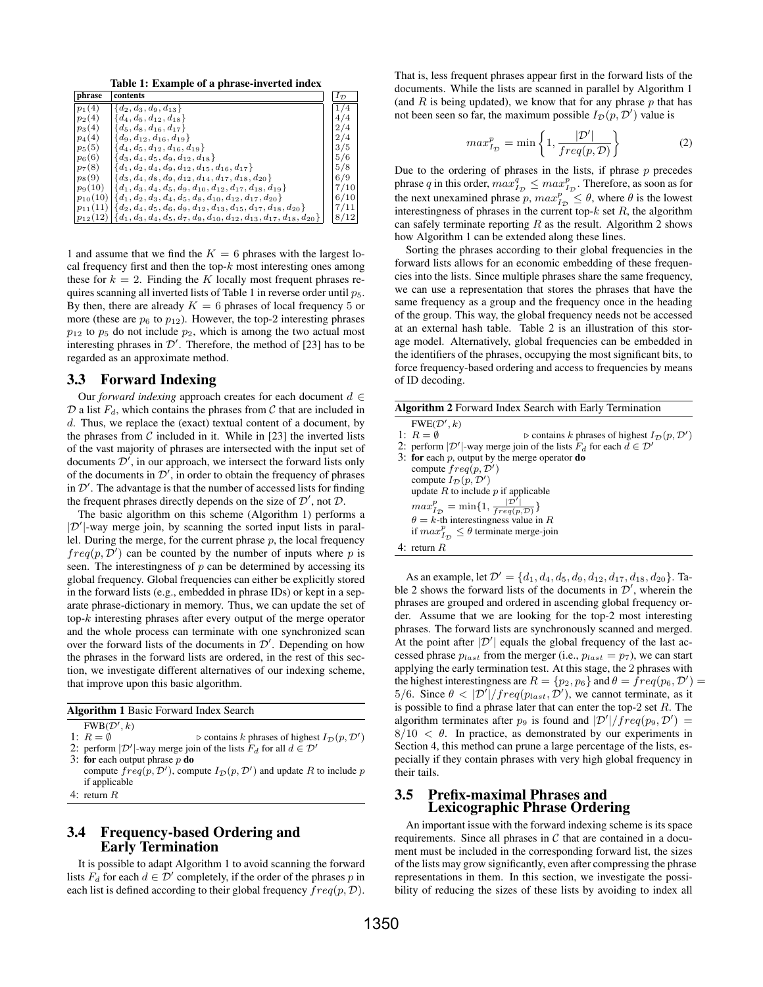Table 1: Example of a phrase-inverted index

| phrase       | contents                                                                                         | $I_{\mathcal{D}}$ |
|--------------|--------------------------------------------------------------------------------------------------|-------------------|
| $p_1(4)$     | ${d_2, d_3, d_9, d_{13}}$                                                                        | 1/4               |
| $p_2(4)$     | ${d_4, d_5, d_{12}, d_{18}}$                                                                     | 4/4               |
| $p_3(4)$     | $\{d_5, d_8, d_{16}, d_{17}\}\$                                                                  | 2/4               |
| $p_4(4)$     | ${d_9, d_{12}, d_{16}, d_{19}}$                                                                  | 2/4               |
| $p_5(5)$     | $\{d_4, d_5, d_{12}, d_{16}, d_{19}\}\$                                                          | 3/5               |
| $p_6(6)$     | ${d_3, d_4, d_5, d_9, d_{12}, d_{18}}$                                                           | 5/6               |
| $p_7(8)$     | $\{d_1, d_2, d_4, d_9, d_{12}, d_{15}, d_{16}, d_{17}\}\$                                        | 5/8               |
| $p_8(9)$     | ${d_3, d_4, d_8, d_9, d_{12}, d_{14}, d_{17}, d_{18}, d_{20}}$                                   | 6/9               |
| $p_9(10)$    | ${d_1, d_3, d_4, d_5, d_9, d_{10}, d_{12}, d_{17}, d_{18}, d_{19}}$                              | 7/10              |
| $p_{10}(10)$ | $\{d_1, d_2, d_3, d_4, d_5, d_8, d_{10}, d_{12}, d_{17}, d_{20}\}\$                              | 6/10              |
|              | $p_{11}(11)$ { $d_2, d_4, d_5, d_6, d_9, d_{12}, d_{13}, d_{15}, d_{17}, d_{18}, d_{20}$ }       | 7/11              |
|              | $p_{12}(12)   \{d_1, d_3, d_4, d_5, d_7, d_9, d_{10}, d_{12}, d_{13}, d_{17}, d_{18}, d_{20}\}\$ | 8/12              |

1 and assume that we find the  $K = 6$  phrases with the largest local frequency first and then the top- $k$  most interesting ones among these for  $k = 2$ . Finding the K locally most frequent phrases requires scanning all inverted lists of Table 1 in reverse order until  $p_5$ . By then, there are already  $K = 6$  phrases of local frequency 5 or more (these are  $p_6$  to  $p_{12}$ ). However, the top-2 interesting phrases  $p_{12}$  to  $p_5$  do not include  $p_2$ , which is among the two actual most interesting phrases in  $\mathcal{D}'$ . Therefore, the method of [23] has to be regarded as an approximate method.

### 3.3 Forward Indexing

Our *forward indexing* approach creates for each document  $d \in$  $D$  a list  $F_d$ , which contains the phrases from  $C$  that are included in d. Thus, we replace the (exact) textual content of a document, by the phrases from  $C$  included in it. While in [23] the inverted lists of the vast majority of phrases are intersected with the input set of documents  $\mathcal{D}'$ , in our approach, we intersect the forward lists only of the documents in  $\mathcal{D}'$ , in order to obtain the frequency of phrases in  $\mathcal{D}'$ . The advantage is that the number of accessed lists for finding the frequent phrases directly depends on the size of  $\mathcal{D}'$ , not  $\mathcal{D}$ .

The basic algorithm on this scheme (Algorithm 1) performs a  $|\mathcal{D}'|$ -way merge join, by scanning the sorted input lists in parallel. During the merge, for the current phrase  $p$ , the local frequency  $freq(p, D')$  can be counted by the number of inputs where p is seen. The interestingness of  $p$  can be determined by accessing its global frequency. Global frequencies can either be explicitly stored in the forward lists (e.g., embedded in phrase IDs) or kept in a separate phrase-dictionary in memory. Thus, we can update the set of top-k interesting phrases after every output of the merge operator and the whole process can terminate with one synchronized scan over the forward lists of the documents in  $\mathcal{D}'$ . Depending on how the phrases in the forward lists are ordered, in the rest of this section, we investigate different alternatives of our indexing scheme, that improve upon this basic algorithm.

| <b>Algorithm 1 Basic Forward Index Search</b> |  |
|-----------------------------------------------|--|

 $FWB(\mathcal{D}', k)$ 1:  $R = \emptyset$   $\triangleright$  contains k phrases of highest  $I_{\mathcal{D}}(p, \mathcal{D}')$ 

2: perform  $|\mathcal{D}'|$ -way merge join of the lists  $F_d$  for all  $d \in \mathcal{D}'$ 

- 3: for each output phrase  $p$  do
- compute  $freq(p, \mathcal{D}')$ , compute  $I_{\mathcal{D}}(p, \mathcal{D}')$  and update R to include p if applicable
- 4: return R

## 3.4 Frequency-based Ordering and Early Termination

It is possible to adapt Algorithm 1 to avoid scanning the forward lists  $F_d$  for each  $d \in \mathcal{D}'$  completely, if the order of the phrases p in each list is defined according to their global frequency  $freq(p, D)$ . That is, less frequent phrases appear first in the forward lists of the documents. While the lists are scanned in parallel by Algorithm 1 (and  $R$  is being updated), we know that for any phrase  $p$  that has not been seen so far, the maximum possible  $I_{\mathcal{D}}(p, \mathcal{D}')$  value is

$$
max_{I_{\mathcal{D}}}^{p} = \min\left\{1, \frac{|\mathcal{D}'|}{freq(p, \mathcal{D})}\right\}
$$
 (2)

Due to the ordering of phrases in the lists, if phrase  $p$  precedes phrase q in this order,  $max_{I_D}^q \leq max_{I_D}^p$ . Therefore, as soon as for the next unexamined phrase  $p, max_{I_D}^p \le \theta$ , where  $\theta$  is the lowest interestingness of phrases in the current top- $k$  set  $R$ , the algorithm can safely terminate reporting  $R$  as the result. Algorithm 2 shows how Algorithm 1 can be extended along these lines.

Sorting the phrases according to their global frequencies in the forward lists allows for an economic embedding of these frequencies into the lists. Since multiple phrases share the same frequency, we can use a representation that stores the phrases that have the same frequency as a group and the frequency once in the heading of the group. This way, the global frequency needs not be accessed at an external hash table. Table 2 is an illustration of this storage model. Alternatively, global frequencies can be embedded in the identifiers of the phrases, occupying the most significant bits, to force frequency-based ordering and access to frequencies by means of ID decoding.

| <b>Algorithm 2</b> Forward Index Search with Early Termination |                                                                                                         |  |
|----------------------------------------------------------------|---------------------------------------------------------------------------------------------------------|--|
|                                                                | FWE(D', k)                                                                                              |  |
|                                                                | 1: $R = \emptyset$<br>$\triangleright$ contains k phrases of highest $I_{\mathcal{D}}(p, \mathcal{D}')$ |  |
|                                                                | 2: perform $ \mathcal{D}' $ -way merge join of the lists $F_d$ for each $d \in \mathcal{D}'$            |  |
|                                                                | 3: for each $p$ , output by the merge operator <b>do</b>                                                |  |
|                                                                | compute $freq(p, \mathcal{D}')$                                                                         |  |
|                                                                | compute $I_{\mathcal{D}}(p, \mathcal{D}')$                                                              |  |
|                                                                | update $R$ to include $p$ if applicable                                                                 |  |
|                                                                | $max_{I_{\mathcal{D}}}^{p} = \min\{1, \frac{ \mathcal{D}' }{freq(p, \mathcal{D})}\}\$                   |  |
|                                                                | $\theta = k$ -th interestingness value in R                                                             |  |
|                                                                | if $max_{I_{\infty}}^{p} \leq \theta$ terminate merge-join                                              |  |
|                                                                | 4: return $R$                                                                                           |  |
|                                                                |                                                                                                         |  |

As an example, let  $\mathcal{D}' = \{d_1, d_4, d_5, d_9, d_{12}, d_{17}, d_{18}, d_{20}\}.$  Table 2 shows the forward lists of the documents in  $\mathcal{D}'$ , wherein the phrases are grouped and ordered in ascending global frequency order. Assume that we are looking for the top-2 most interesting phrases. The forward lists are synchronously scanned and merged. At the point after  $|\mathcal{D}'|$  equals the global frequency of the last accessed phrase  $p_{last}$  from the merger (i.e.,  $p_{last} = p_7$ ), we can start applying the early termination test. At this stage, the 2 phrases with the highest interestingness are  $R = \{p_2, p_6\}$  and  $\theta = freq(p_6, \mathcal{D}')$ 5/6. Since  $\theta < |\mathcal{D}'|/freq(p_{last}, \mathcal{D}')$ , we cannot terminate, as it is possible to find a phrase later that can enter the top-2 set  $R$ . The algorithm terminates after  $p_9$  is found and  $|\mathcal{D}'|/freq(p_9, \mathcal{D}') =$  $8/10 < \theta$ . In practice, as demonstrated by our experiments in Section 4, this method can prune a large percentage of the lists, especially if they contain phrases with very high global frequency in their tails.

### 3.5 Prefix-maximal Phrases and Lexicographic Phrase Ordering

An important issue with the forward indexing scheme is its space requirements. Since all phrases in  $C$  that are contained in a document must be included in the corresponding forward list, the sizes of the lists may grow significantly, even after compressing the phrase representations in them. In this section, we investigate the possibility of reducing the sizes of these lists by avoiding to index all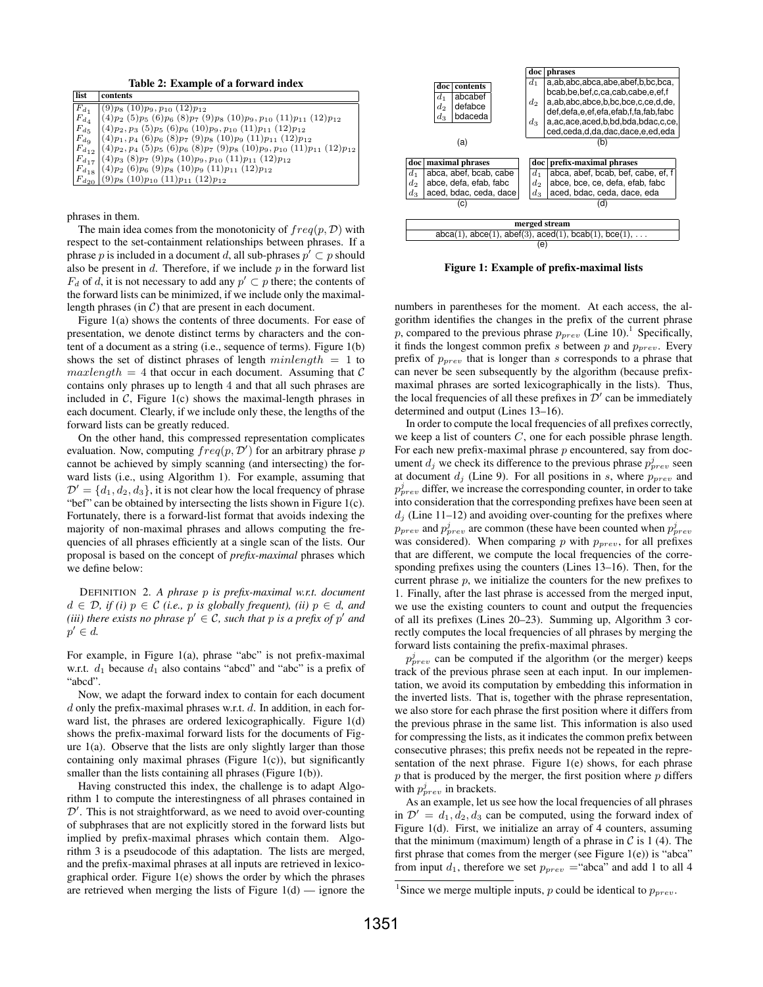Table 2: Example of a forward index

| list         | contents                                                                                           |
|--------------|----------------------------------------------------------------------------------------------------|
| $F_{d_1}$    | $(9)p_8(10)p_9, p_{10}(12)p_{12}$                                                                  |
| $F_{d}$      | $(4)p_2$ (5) $p_5$ (6) $p_6$ (8) $p_7$ (9) $p_8$ (10) $p_9$ , $p_{10}$ (11) $p_{11}$ (12) $p_{12}$ |
| $F_{d\pi}$   | $(4)p_2, p_3 (5)p_5 (6)p_6 (10)p_9, p_{10} (11)p_{11} (12)p_{12}$                                  |
| $F_{d_0}$    | $(4)p_1, p_4$ (6) $p_6$ (8) $p_7$ (9) $p_8$ (10) $p_9$ (11) $p_{11}$ (12) $p_{12}$                 |
| $F_{d_{12}}$ | $ (4)p_2, p_4 (5)p_5 (6)p_6 (8)p_7 (9)p_8 (10)p_9, p_{10} (11)p_{11} (12)p_{12} )$                 |
|              | $F_{d_{17}}(4)p_3(8)p_7(9)p_8(10)p_9, p_{10}(11)p_{11}(12)p_{12}$                                  |
|              | $F_{d_{18}}(4)p_2(6)p_6(9)p_8(10)p_9(11)p_{11}(12)p_{12}$                                          |
|              | $F_{d_{20}}$ (9) $p_8$ (10) $p_{10}$ (11) $p_{11}$ (12) $p_{12}$                                   |

phrases in them.

The main idea comes from the monotonicity of  $freq(p, D)$  with respect to the set-containment relationships between phrases. If a phrase p is included in a document d, all sub-phrases  $p' \subset p$  should also be present in  $d$ . Therefore, if we include  $p$  in the forward list  $F_d$  of d, it is not necessary to add any  $p' \subset p$  there; the contents of the forward lists can be minimized, if we include only the maximallength phrases (in  $C$ ) that are present in each document.

Figure 1(a) shows the contents of three documents. For ease of presentation, we denote distinct terms by characters and the content of a document as a string (i.e., sequence of terms). Figure 1(b) shows the set of distinct phrases of length  $minlength = 1$  to  $maxlength = 4$  that occur in each document. Assuming that C contains only phrases up to length 4 and that all such phrases are included in  $C$ , Figure 1(c) shows the maximal-length phrases in each document. Clearly, if we include only these, the lengths of the forward lists can be greatly reduced.

On the other hand, this compressed representation complicates evaluation. Now, computing  $freq(p, \mathcal{D}')$  for an arbitrary phrase  $p$ cannot be achieved by simply scanning (and intersecting) the forward lists (i.e., using Algorithm 1). For example, assuming that  $\mathcal{D}' = \{d_1, d_2, d_3\}$ , it is not clear how the local frequency of phrase "bef" can be obtained by intersecting the lists shown in Figure 1(c). Fortunately, there is a forward-list format that avoids indexing the majority of non-maximal phrases and allows computing the frequencies of all phrases efficiently at a single scan of the lists. Our proposal is based on the concept of *prefix-maximal* phrases which we define below:

DEFINITION 2. *A phrase* p *is prefix-maximal w.r.t. document*  $d \in \mathcal{D}$ , if (i)  $p \in \mathcal{C}$  (i.e., p is globally frequent), (ii)  $p \in d$ , and *(iii) there exists no phrase*  $p' \in C$ *, such that p is a prefix of*  $p'$  *and*  $p' \in d$ .

For example, in Figure 1(a), phrase "abc" is not prefix-maximal w.r.t.  $d_1$  because  $d_1$  also contains "abcd" and "abc" is a prefix of "abcd".

Now, we adapt the forward index to contain for each document  $d$  only the prefix-maximal phrases w.r.t.  $d$ . In addition, in each forward list, the phrases are ordered lexicographically. Figure 1(d) shows the prefix-maximal forward lists for the documents of Figure  $1(a)$ . Observe that the lists are only slightly larger than those containing only maximal phrases (Figure 1(c)), but significantly smaller than the lists containing all phrases (Figure 1(b)).

Having constructed this index, the challenge is to adapt Algorithm 1 to compute the interestingness of all phrases contained in  $\mathcal{D}'$ . This is not straightforward, as we need to avoid over-counting of subphrases that are not explicitly stored in the forward lists but implied by prefix-maximal phrases which contain them. Algorithm 3 is a pseudocode of this adaptation. The lists are merged, and the prefix-maximal phrases at all inputs are retrieved in lexicographical order. Figure 1(e) shows the order by which the phrases are retrieved when merging the lists of Figure  $1(d)$  — ignore the



Figure 1: Example of prefix-maximal lists

numbers in parentheses for the moment. At each access, the algorithm identifies the changes in the prefix of the current phrase p, compared to the previous phrase  $p_{prev}$  (Line 10).<sup>1</sup> Specifically, it finds the longest common prefix s between p and p*prev*. Every prefix of p*prev* that is longer than s corresponds to a phrase that can never be seen subsequently by the algorithm (because prefixmaximal phrases are sorted lexicographically in the lists). Thus, the local frequencies of all these prefixes in  $\mathcal{D}'$  can be immediately determined and output (Lines 13–16).

In order to compute the local frequencies of all prefixes correctly, we keep a list of counters  $C$ , one for each possible phrase length. For each new prefix-maximal phrase  $p$  encountered, say from document  $d_j$  we check its difference to the previous phrase  $p_{prev}^j$  seen at document  $d_j$  (Line 9). For all positions in s, where  $p_{prev}$  and  $p_{prev}^j$  differ, we increase the corresponding counter, in order to take into consideration that the corresponding prefixes have been seen at  $d_i$  (Line 11–12) and avoiding over-counting for the prefixes where  $p_{prev}$  and  $p_{prev}^j$  are common (these have been counted when  $p_{prev}^j$ was considered). When comparing p with p*prev*, for all prefixes that are different, we compute the local frequencies of the corresponding prefixes using the counters (Lines 13–16). Then, for the current phrase  $p$ , we initialize the counters for the new prefixes to 1. Finally, after the last phrase is accessed from the merged input, we use the existing counters to count and output the frequencies of all its prefixes (Lines 20–23). Summing up, Algorithm 3 correctly computes the local frequencies of all phrases by merging the forward lists containing the prefix-maximal phrases.

 $p_{prev}^j$  can be computed if the algorithm (or the merger) keeps track of the previous phrase seen at each input. In our implementation, we avoid its computation by embedding this information in the inverted lists. That is, together with the phrase representation, we also store for each phrase the first position where it differs from the previous phrase in the same list. This information is also used for compressing the lists, as it indicates the common prefix between consecutive phrases; this prefix needs not be repeated in the representation of the next phrase. Figure 1(e) shows, for each phrase  $p$  that is produced by the merger, the first position where  $p$  differs with  $p_{prev}^j$  in brackets.

As an example, let us see how the local frequencies of all phrases in  $\mathcal{D}' = d_1, d_2, d_3$  can be computed, using the forward index of Figure 1(d). First, we initialize an array of 4 counters, assuming that the minimum (maximum) length of a phrase in  $\mathcal C$  is 1 (4). The first phrase that comes from the merger (see Figure  $1(e)$ ) is "abca" from input  $d_1$ , therefore we set  $p_{prev} =$ "abca" and add 1 to all 4

<sup>&</sup>lt;sup>1</sup>Since we merge multiple inputs, p could be identical to  $p_{prev}$ .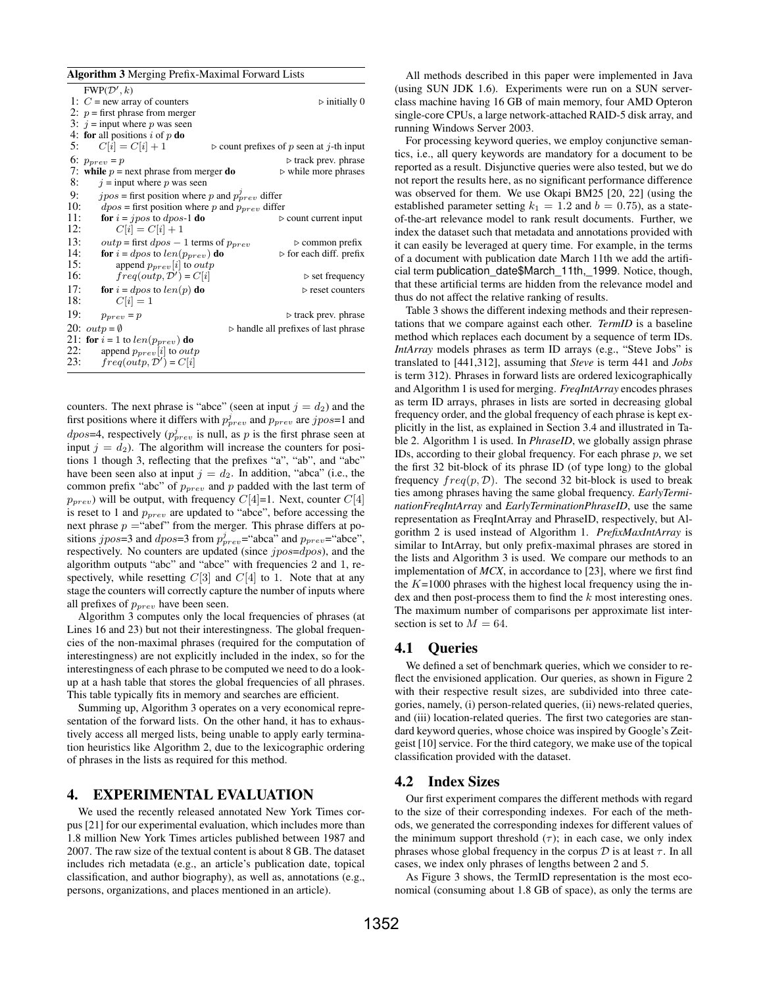|     | <b>Algorithm 3</b> Merging Prefix-Maximal Forward Lists                      |                                                     |  |  |  |
|-----|------------------------------------------------------------------------------|-----------------------------------------------------|--|--|--|
|     | $FWP(\mathcal{D}', k)$                                                       |                                                     |  |  |  |
|     | 1: $C$ = new array of counters                                               | $\triangleright$ initially 0                        |  |  |  |
|     | 2: $p =$ first phrase from merger                                            |                                                     |  |  |  |
|     | 3: $i =$ input where p was seen                                              |                                                     |  |  |  |
|     | 4: for all positions i of p do                                               |                                                     |  |  |  |
| 5:  | $C[i] = C[i] + 1$<br>$\triangleright$ count prefixes of p seen at j-th input |                                                     |  |  |  |
|     | 6: $p_{prev} = p$                                                            | $\triangleright$ track prev. phrase                 |  |  |  |
|     | 7: while $p =$ next phrase from merger do                                    | $\triangleright$ while more phrases                 |  |  |  |
| 8:  | $j =$ input where p was seen                                                 |                                                     |  |  |  |
| 9:  | $jpos$ = first position where p and $p_{prev}^j$ differ                      |                                                     |  |  |  |
| 10: | $dpos$ = first position where p and $p_{prev}$ differ                        |                                                     |  |  |  |
| 11: | <b>for</b> $i = jpos$ to <i>dpos</i> -1 <b>do</b>                            | $\triangleright$ count current input                |  |  |  |
| 12: | $C[i] = C[i] + 1$                                                            |                                                     |  |  |  |
| 13: | <i>outp</i> = first $dpos - 1$ terms of $p_{prev}$                           | $\triangleright$ common prefix                      |  |  |  |
| 14: | <b>for</b> $i = dpos$ to $len(p_{prev})$ <b>do</b>                           | $\triangleright$ for each diff. prefix              |  |  |  |
| 15: | append $p_{prev}[i]$ to <i>outp</i>                                          |                                                     |  |  |  |
| 16: | $freq(outp, \mathcal{D}') = C[i]$                                            | $\triangleright$ set frequency                      |  |  |  |
| 17: | for $i = dpos$ to $len(p)$ do                                                | $\triangleright$ reset counters                     |  |  |  |
| 18: | $C[i] = 1$                                                                   |                                                     |  |  |  |
| 19: | $p_{prev} = p$                                                               | $\triangleright$ track prev. phrase                 |  |  |  |
|     | 20: $outp = \emptyset$                                                       | $\triangleright$ handle all prefixes of last phrase |  |  |  |
|     | 21: for $i = 1$ to $len(p_{prev})$ do                                        |                                                     |  |  |  |
| 22: | append $p_{prev}[i]$ to <i>outp</i>                                          |                                                     |  |  |  |
| 23: | $freq(outp, \mathcal{D}') = C[i]$                                            |                                                     |  |  |  |

counters. The next phrase is "abce" (seen at input  $j = d_2$ ) and the first positions where it differs with  $p_{prev}^j$  and  $p_{prev}$  are  $jpos=1$  and  $dpos=4$ , respectively  $(p_{prev}^j$  is null, as p is the first phrase seen at input  $j = d_2$ ). The algorithm will increase the counters for positions 1 though 3, reflecting that the prefixes "a", "ab", and "abc" have been seen also at input  $j = d_2$ . In addition, "abca" (i.e., the common prefix "abc" of p*prev* and p padded with the last term of  $p_{prev}$ ) will be output, with frequency  $C[4]=1$ . Next, counter  $C[4]$ is reset to 1 and p*prev* are updated to "abce", before accessing the next phrase  $p =$ "abef" from the merger. This phrase differs at positions *jpos*=3 and *dpos*=3 from  $p_{prev}^j$ ="abca" and  $p_{prev}$ ="abce", respectively. No counters are updated (since  $jpos=dpos$ ), and the algorithm outputs "abc" and "abce" with frequencies 2 and 1, respectively, while resetting  $C[3]$  and  $C[4]$  to 1. Note that at any stage the counters will correctly capture the number of inputs where all prefixes of p*prev* have been seen.

Algorithm 3 computes only the local frequencies of phrases (at Lines 16 and 23) but not their interestingness. The global frequencies of the non-maximal phrases (required for the computation of interestingness) are not explicitly included in the index, so for the interestingness of each phrase to be computed we need to do a lookup at a hash table that stores the global frequencies of all phrases. This table typically fits in memory and searches are efficient.

Summing up, Algorithm 3 operates on a very economical representation of the forward lists. On the other hand, it has to exhaustively access all merged lists, being unable to apply early termination heuristics like Algorithm 2, due to the lexicographic ordering of phrases in the lists as required for this method.

### 4. EXPERIMENTAL EVALUATION

We used the recently released annotated New York Times corpus [21] for our experimental evaluation, which includes more than 1.8 million New York Times articles published between 1987 and 2007. The raw size of the textual content is about 8 GB. The dataset includes rich metadata (e.g., an article's publication date, topical classification, and author biography), as well as, annotations (e.g., persons, organizations, and places mentioned in an article).

All methods described in this paper were implemented in Java (using SUN JDK 1.6). Experiments were run on a SUN serverclass machine having 16 GB of main memory, four AMD Opteron single-core CPUs, a large network-attached RAID-5 disk array, and running Windows Server 2003.

For processing keyword queries, we employ conjunctive semantics, i.e., all query keywords are mandatory for a document to be reported as a result. Disjunctive queries were also tested, but we do not report the results here, as no significant performance difference was observed for them. We use Okapi BM25 [20, 22] (using the established parameter setting  $k_1 = 1.2$  and  $b = 0.75$ ), as a stateof-the-art relevance model to rank result documents. Further, we index the dataset such that metadata and annotations provided with it can easily be leveraged at query time. For example, in the terms of a document with publication date March 11th we add the artificial term publication date\$March\_11th,\_1999. Notice, though, that these artificial terms are hidden from the relevance model and thus do not affect the relative ranking of results.

Table 3 shows the different indexing methods and their representations that we compare against each other. *TermID* is a baseline method which replaces each document by a sequence of term IDs. *IntArray* models phrases as term ID arrays (e.g., "Steve Jobs" is translated to [441,312], assuming that *Steve* is term 441 and *Jobs* is term 312). Phrases in forward lists are ordered lexicographically and Algorithm 1 is used for merging. *FreqIntArray* encodes phrases as term ID arrays, phrases in lists are sorted in decreasing global frequency order, and the global frequency of each phrase is kept explicitly in the list, as explained in Section 3.4 and illustrated in Table 2. Algorithm 1 is used. In *PhraseID*, we globally assign phrase IDs, according to their global frequency. For each phrase  $p$ , we set the first 32 bit-block of its phrase ID (of type long) to the global frequency  $freq(p, D)$ . The second 32 bit-block is used to break ties among phrases having the same global frequency. *EarlyTerminationFreqIntArray* and *EarlyTerminationPhraseID*, use the same representation as FreqIntArray and PhraseID, respectively, but Algorithm 2 is used instead of Algorithm 1. *PrefixMaxIntArray* is similar to IntArray, but only prefix-maximal phrases are stored in the lists and Algorithm 3 is used. We compare our methods to an implementation of *MCX*, in accordance to [23], where we first find the  $K=1000$  phrases with the highest local frequency using the index and then post-process them to find the  $k$  most interesting ones. The maximum number of comparisons per approximate list intersection is set to  $M = 64$ .

## 4.1 Queries

We defined a set of benchmark queries, which we consider to reflect the envisioned application. Our queries, as shown in Figure 2 with their respective result sizes, are subdivided into three categories, namely, (i) person-related queries, (ii) news-related queries, and (iii) location-related queries. The first two categories are standard keyword queries, whose choice was inspired by Google's Zeitgeist [10] service. For the third category, we make use of the topical classification provided with the dataset.

### 4.2 Index Sizes

Our first experiment compares the different methods with regard to the size of their corresponding indexes. For each of the methods, we generated the corresponding indexes for different values of the minimum support threshold  $(\tau)$ ; in each case, we only index phrases whose global frequency in the corpus  $\mathcal D$  is at least  $\tau$ . In all cases, we index only phrases of lengths between 2 and 5.

As Figure 3 shows, the TermID representation is the most economical (consuming about 1.8 GB of space), as only the terms are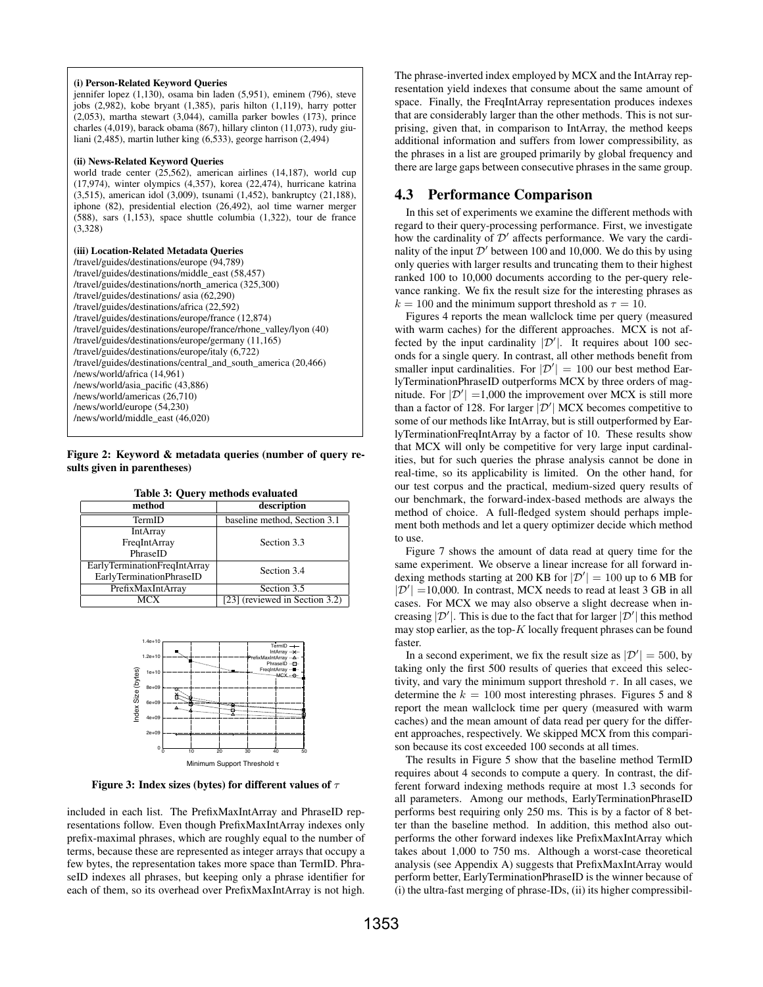#### (i) Person-Related Keyword Queries

jennifer lopez (1,130), osama bin laden (5,951), eminem (796), steve jobs (2,982), kobe bryant (1,385), paris hilton (1,119), harry potter  $(2,053)$ , martha stewart  $(3,044)$ , camilla parker bowles  $(173)$ , prince charles (4,019), barack obama (867), hillary clinton (11,073), rudy giuliani (2,485), martin luther king (6,533), george harrison (2,494)

#### (ii) News-Related Keyword Queries

world trade center (25,562), american airlines (14,187), world cup (17,974), winter olympics (4,357), korea (22,474), hurricane katrina (3,515), american idol (3,009), tsunami (1,452), bankruptcy (21,188), iphone (82), presidential election (26,492), aol time warner merger (588), sars (1,153), space shuttle columbia (1,322), tour de france (3,328)

### (iii) Location-Related Metadata Queries

/travel/guides/destinations/europe (94,789) /travel/guides/destinations/middle\_east (58,457) /travel/guides/destinations/north\_america (325,300) /travel/guides/destinations/ asia (62,290) /travel/guides/destinations/africa (22,592) /travel/guides/destinations/europe/france (12,874) /travel/guides/destinations/europe/france/rhone\_valley/lyon (40) /travel/guides/destinations/europe/germany (11,165) /travel/guides/destinations/europe/italy (6,722) /travel/guides/destinations/central\_and\_south\_america (20,466) /news/world/africa (14,961) /news/world/asia\_pacific (43,886) /news/world/americas (26,710) /news/world/europe (54,230) /news/world/middle\_east (46,020)

### Figure 2: Keyword & metadata queries (number of query results given in parentheses)

| Table 3: Query methods evaluated |
|----------------------------------|
|----------------------------------|

| method                                      | description                    |
|---------------------------------------------|--------------------------------|
| TermID                                      | baseline method, Section 3.1   |
| <b>IntArray</b>                             |                                |
| FreqIntArray                                | Section 3.3                    |
| PhraseID                                    |                                |
| EarlyTerminationFreqIntArray<br>Section 3.4 |                                |
| EarlyTerminationPhraseID                    |                                |
| PrefixMaxIntArray                           | Section 3.5                    |
| MCX                                         | [23] (reviewed in Section 3.2) |



Figure 3: Index sizes (bytes) for different values of  $\tau$ 

included in each list. The PrefixMaxIntArray and PhraseID representations follow. Even though PrefixMaxIntArray indexes only prefix-maximal phrases, which are roughly equal to the number of terms, because these are represented as integer arrays that occupy a few bytes, the representation takes more space than TermID. PhraseID indexes all phrases, but keeping only a phrase identifier for each of them, so its overhead over PrefixMaxIntArray is not high.

The phrase-inverted index employed by MCX and the IntArray representation yield indexes that consume about the same amount of space. Finally, the FreqIntArray representation produces indexes that are considerably larger than the other methods. This is not surprising, given that, in comparison to IntArray, the method keeps additional information and suffers from lower compressibility, as the phrases in a list are grouped primarily by global frequency and there are large gaps between consecutive phrases in the same group.

## 4.3 Performance Comparison

In this set of experiments we examine the different methods with regard to their query-processing performance. First, we investigate how the cardinality of  $\mathcal{D}'$  affects performance. We vary the cardinality of the input  $\mathcal{D}'$  between 100 and 10,000. We do this by using only queries with larger results and truncating them to their highest ranked 100 to 10,000 documents according to the per-query relevance ranking. We fix the result size for the interesting phrases as  $k = 100$  and the minimum support threshold as  $\tau = 10$ .

Figures 4 reports the mean wallclock time per query (measured with warm caches) for the different approaches. MCX is not affected by the input cardinality  $|\mathcal{D}'|$ . It requires about 100 seconds for a single query. In contrast, all other methods benefit from smaller input cardinalities. For  $|\mathcal{D}'| = 100$  our best method EarlyTerminationPhraseID outperforms MCX by three orders of magnitude. For  $|\mathcal{D}'| = 1,000$  the improvement over MCX is still more than a factor of 128. For larger  $|\mathcal{D}'|$  MCX becomes competitive to some of our methods like IntArray, but is still outperformed by EarlyTerminationFreqIntArray by a factor of 10. These results show that MCX will only be competitive for very large input cardinalities, but for such queries the phrase analysis cannot be done in real-time, so its applicability is limited. On the other hand, for our test corpus and the practical, medium-sized query results of our benchmark, the forward-index-based methods are always the method of choice. A full-fledged system should perhaps implement both methods and let a query optimizer decide which method to use.

Figure 7 shows the amount of data read at query time for the same experiment. We observe a linear increase for all forward indexing methods starting at 200 KB for  $|\mathcal{D}'| = 100$  up to 6 MB for  $|\mathcal{D}'|$  = 10,000. In contrast, MCX needs to read at least 3 GB in all cases. For MCX we may also observe a slight decrease when increasing  $|\mathcal{D}'|$ . This is due to the fact that for larger  $|\mathcal{D}'|$  this method may stop earlier, as the top- $K$  locally frequent phrases can be found faster.

In a second experiment, we fix the result size as  $|\mathcal{D}'| = 500$ , by taking only the first 500 results of queries that exceed this selectivity, and vary the minimum support threshold  $\tau$ . In all cases, we determine the  $k = 100$  most interesting phrases. Figures 5 and 8 report the mean wallclock time per query (measured with warm caches) and the mean amount of data read per query for the different approaches, respectively. We skipped MCX from this comparison because its cost exceeded 100 seconds at all times.

The results in Figure 5 show that the baseline method TermID requires about 4 seconds to compute a query. In contrast, the different forward indexing methods require at most 1.3 seconds for all parameters. Among our methods, EarlyTerminationPhraseID performs best requiring only 250 ms. This is by a factor of 8 better than the baseline method. In addition, this method also outperforms the other forward indexes like PrefixMaxIntArray which takes about 1,000 to 750 ms. Although a worst-case theoretical analysis (see Appendix A) suggests that PrefixMaxIntArray would perform better, EarlyTerminationPhraseID is the winner because of (i) the ultra-fast merging of phrase-IDs, (ii) its higher compressibil-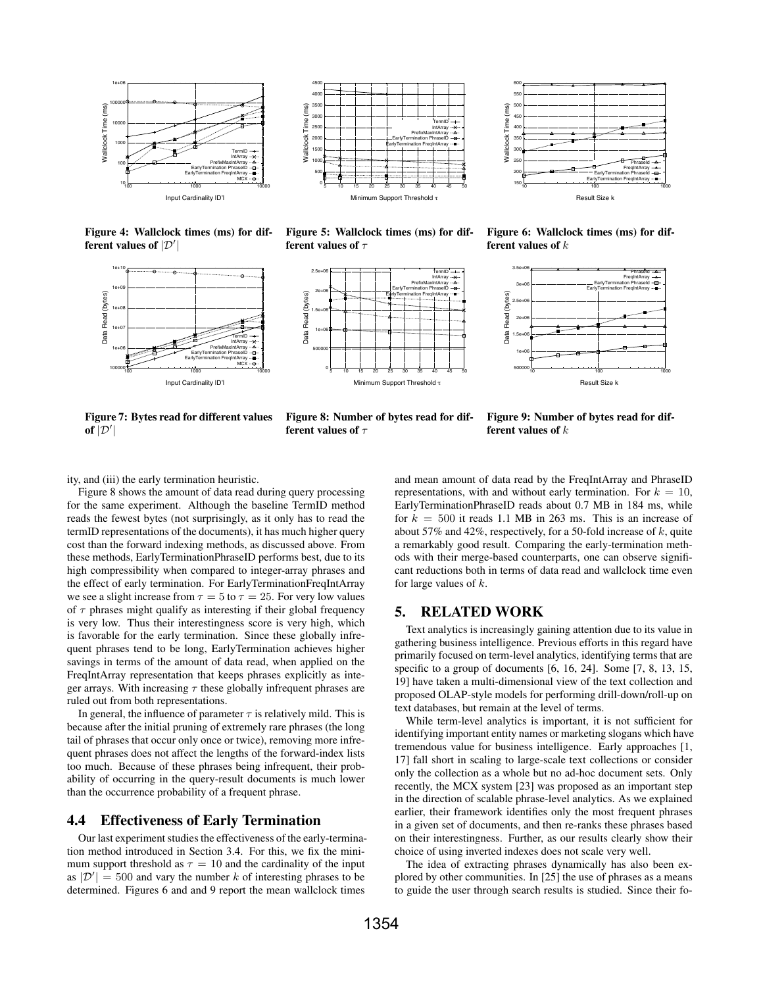

Figure 4: Wallclock times (ms) for different values of  $|\mathcal{D}'|$ 



 4000  $\overline{m}$ s) 3500 Wallclock Time (ms) 3000 TermID 2500 IntArray PrefixMaxIntArray Mallclock 2000 EarlyTermination PhraseID EarlyTermination FreqIntArray 1500 1000 500 0 5 10 15 20 25 30 35 40 45 50 um Support Threshold

4500

Figure 5: Wallclock times (ms) for different values of  $\tau$ 



Figure 6: Wallclock times (ms) for different values of  $k$ 

10 100 1000

PhraseId FreqIntArray EarlyTermination PhraseId EarlyTermination FreqIntArray

Result Size k

Wallclock Time (ms)

**Naliclock** 

Time

 $(ms)$ 



Figure 7: Bytes read for different values of  $|\mathcal{D}'|$ 

Figure 8: Number of bytes read for different values of  $\tau$ 

Figure 9: Number of bytes read for different values of  $k$ 

ity, and (iii) the early termination heuristic.

Figure 8 shows the amount of data read during query processing for the same experiment. Although the baseline TermID method reads the fewest bytes (not surprisingly, as it only has to read the termID representations of the documents), it has much higher query cost than the forward indexing methods, as discussed above. From these methods, EarlyTerminationPhraseID performs best, due to its high compressibility when compared to integer-array phrases and the effect of early termination. For EarlyTerminationFreqIntArray we see a slight increase from  $\tau = 5$  to  $\tau = 25$ . For very low values of  $\tau$  phrases might qualify as interesting if their global frequency is very low. Thus their interestingness score is very high, which is favorable for the early termination. Since these globally infrequent phrases tend to be long, EarlyTermination achieves higher savings in terms of the amount of data read, when applied on the FreqIntArray representation that keeps phrases explicitly as integer arrays. With increasing  $\tau$  these globally infrequent phrases are ruled out from both representations.

In general, the influence of parameter  $\tau$  is relatively mild. This is because after the initial pruning of extremely rare phrases (the long tail of phrases that occur only once or twice), removing more infrequent phrases does not affect the lengths of the forward-index lists too much. Because of these phrases being infrequent, their probability of occurring in the query-result documents is much lower than the occurrence probability of a frequent phrase.

### 4.4 Effectiveness of Early Termination

Our last experiment studies the effectiveness of the early-termination method introduced in Section 3.4. For this, we fix the minimum support threshold as  $\tau = 10$  and the cardinality of the input as  $|\mathcal{D}'| = 500$  and vary the number k of interesting phrases to be determined. Figures 6 and and 9 report the mean wallclock times

and mean amount of data read by the FreqIntArray and PhraseID representations, with and without early termination. For  $k = 10$ , EarlyTerminationPhraseID reads about 0.7 MB in 184 ms, while for  $k = 500$  it reads 1.1 MB in 263 ms. This is an increase of about 57% and 42%, respectively, for a 50-fold increase of  $k$ , quite a remarkably good result. Comparing the early-termination methods with their merge-based counterparts, one can observe significant reductions both in terms of data read and wallclock time even for large values of  $k$ .

### 5. RELATED WORK

Text analytics is increasingly gaining attention due to its value in gathering business intelligence. Previous efforts in this regard have primarily focused on term-level analytics, identifying terms that are specific to a group of documents [6, 16, 24]. Some [7, 8, 13, 15, 19] have taken a multi-dimensional view of the text collection and proposed OLAP-style models for performing drill-down/roll-up on text databases, but remain at the level of terms.

While term-level analytics is important, it is not sufficient for identifying important entity names or marketing slogans which have tremendous value for business intelligence. Early approaches [1, 17] fall short in scaling to large-scale text collections or consider only the collection as a whole but no ad-hoc document sets. Only recently, the MCX system [23] was proposed as an important step in the direction of scalable phrase-level analytics. As we explained earlier, their framework identifies only the most frequent phrases in a given set of documents, and then re-ranks these phrases based on their interestingness. Further, as our results clearly show their choice of using inverted indexes does not scale very well.

The idea of extracting phrases dynamically has also been explored by other communities. In [25] the use of phrases as a means to guide the user through search results is studied. Since their fo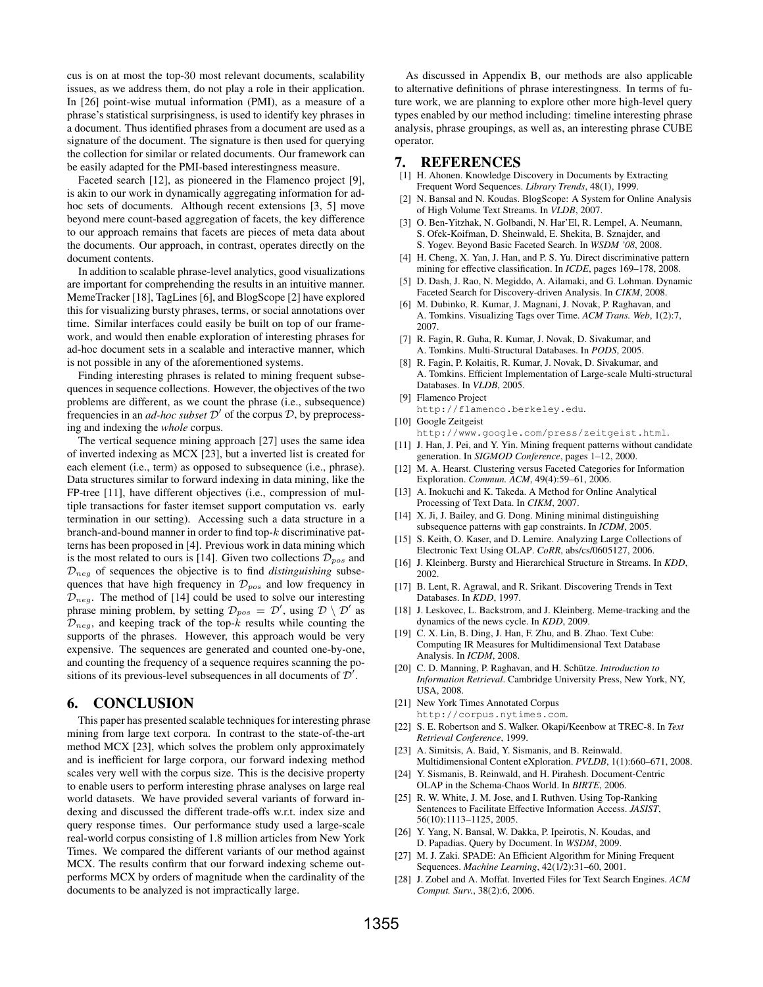cus is on at most the top-30 most relevant documents, scalability issues, as we address them, do not play a role in their application. In [26] point-wise mutual information (PMI), as a measure of a phrase's statistical surprisingness, is used to identify key phrases in a document. Thus identified phrases from a document are used as a signature of the document. The signature is then used for querying the collection for similar or related documents. Our framework can be easily adapted for the PMI-based interestingness measure.

Faceted search [12], as pioneered in the Flamenco project [9], is akin to our work in dynamically aggregating information for adhoc sets of documents. Although recent extensions [3, 5] move beyond mere count-based aggregation of facets, the key difference to our approach remains that facets are pieces of meta data about the documents. Our approach, in contrast, operates directly on the document contents.

In addition to scalable phrase-level analytics, good visualizations are important for comprehending the results in an intuitive manner. MemeTracker [18], TagLines [6], and BlogScope [2] have explored this for visualizing bursty phrases, terms, or social annotations over time. Similar interfaces could easily be built on top of our framework, and would then enable exploration of interesting phrases for ad-hoc document sets in a scalable and interactive manner, which is not possible in any of the aforementioned systems.

Finding interesting phrases is related to mining frequent subsequences in sequence collections. However, the objectives of the two problems are different, as we count the phrase (i.e., subsequence) frequencies in an *ad-hoc subset*  $\mathcal{D}'$  of the corpus  $\mathcal{D}$ , by preprocessing and indexing the *whole* corpus.

The vertical sequence mining approach [27] uses the same idea of inverted indexing as MCX [23], but a inverted list is created for each element (i.e., term) as opposed to subsequence (i.e., phrase). Data structures similar to forward indexing in data mining, like the FP-tree [11], have different objectives (i.e., compression of multiple transactions for faster itemset support computation vs. early termination in our setting). Accessing such a data structure in a branch-and-bound manner in order to find top-k discriminative patterns has been proposed in [4]. Previous work in data mining which is the most related to ours is [14]. Given two collections  $\mathcal{D}_{pos}$  and  $\mathcal{D}_{\text{neg}}$  of sequences the objective is to find *distinguishing* subsequences that have high frequency in D*pos* and low frequency in  $\mathcal{D}_{neg}$ . The method of [14] could be used to solve our interesting phrase mining problem, by setting  $\mathcal{D}_{pos} = \mathcal{D}'$ , using  $\mathcal{D} \setminus \mathcal{D}'$  as  $\mathcal{D}_{neg}$ , and keeping track of the top- $k$  results while counting the supports of the phrases. However, this approach would be very expensive. The sequences are generated and counted one-by-one, and counting the frequency of a sequence requires scanning the positions of its previous-level subsequences in all documents of  $\mathcal{D}'$ .

### 6. CONCLUSION

This paper has presented scalable techniques for interesting phrase mining from large text corpora. In contrast to the state-of-the-art method MCX [23], which solves the problem only approximately and is inefficient for large corpora, our forward indexing method scales very well with the corpus size. This is the decisive property to enable users to perform interesting phrase analyses on large real world datasets. We have provided several variants of forward indexing and discussed the different trade-offs w.r.t. index size and query response times. Our performance study used a large-scale real-world corpus consisting of 1.8 million articles from New York Times. We compared the different variants of our method against MCX. The results confirm that our forward indexing scheme outperforms MCX by orders of magnitude when the cardinality of the documents to be analyzed is not impractically large.

As discussed in Appendix B, our methods are also applicable to alternative definitions of phrase interestingness. In terms of future work, we are planning to explore other more high-level query types enabled by our method including: timeline interesting phrase analysis, phrase groupings, as well as, an interesting phrase CUBE operator.

### 7. REFERENCES

- [1] H. Ahonen. Knowledge Discovery in Documents by Extracting Frequent Word Sequences. *Library Trends*, 48(1), 1999.
- N. Bansal and N. Koudas. BlogScope: A System for Online Analysis of High Volume Text Streams. In *VLDB*, 2007.
- [3] O. Ben-Yitzhak, N. Golbandi, N. Har'El, R. Lempel, A. Neumann, S. Ofek-Koifman, D. Sheinwald, E. Shekita, B. Sznajder, and S. Yogev. Beyond Basic Faceted Search. In *WSDM '08*, 2008.
- [4] H. Cheng, X. Yan, J. Han, and P. S. Yu. Direct discriminative pattern mining for effective classification. In *ICDE*, pages 169–178, 2008.
- [5] D. Dash, J. Rao, N. Megiddo, A. Ailamaki, and G. Lohman. Dynamic Faceted Search for Discovery-driven Analysis. In *CIKM*, 2008.
- [6] M. Dubinko, R. Kumar, J. Magnani, J. Novak, P. Raghavan, and A. Tomkins. Visualizing Tags over Time. *ACM Trans. Web*, 1(2):7, 2007.
- [7] R. Fagin, R. Guha, R. Kumar, J. Novak, D. Sivakumar, and A. Tomkins. Multi-Structural Databases. In *PODS*, 2005.
- [8] R. Fagin, P. Kolaitis, R. Kumar, J. Novak, D. Sivakumar, and A. Tomkins. Efficient Implementation of Large-scale Multi-structural Databases. In *VLDB*, 2005.
- [9] Flamenco Project
- http://flamenco.berkeley.edu.
- [10] Google Zeitgeist
- http://www.google.com/press/zeitgeist.html. [11] J. Han, J. Pei, and Y. Yin. Mining frequent patterns without candidate generation. In *SIGMOD Conference*, pages 1–12, 2000.
- [12] M. A. Hearst. Clustering versus Faceted Categories for Information Exploration. *Commun. ACM*, 49(4):59–61, 2006.
- [13] A. Inokuchi and K. Takeda. A Method for Online Analytical Processing of Text Data. In *CIKM*, 2007.
- [14] X. Ji, J. Bailey, and G. Dong. Mining minimal distinguishing subsequence patterns with gap constraints. In *ICDM*, 2005.
- [15] S. Keith, O. Kaser, and D. Lemire. Analyzing Large Collections of Electronic Text Using OLAP. *CoRR*, abs/cs/0605127, 2006.
- [16] J. Kleinberg. Bursty and Hierarchical Structure in Streams. In *KDD*, 2002.
- [17] B. Lent, R. Agrawal, and R. Srikant. Discovering Trends in Text Databases. In *KDD*, 1997.
- [18] J. Leskovec, L. Backstrom, and J. Kleinberg. Meme-tracking and the dynamics of the news cycle. In *KDD*, 2009.
- [19] C. X. Lin, B. Ding, J. Han, F. Zhu, and B. Zhao. Text Cube: Computing IR Measures for Multidimensional Text Database Analysis. In *ICDM*, 2008.
- [20] C. D. Manning, P. Raghavan, and H. Schütze. *Introduction to Information Retrieval*. Cambridge University Press, New York, NY, USA, 2008.
- [21] New York Times Annotated Corpus http://corpus.nytimes.com.
- [22] S. E. Robertson and S. Walker. Okapi/Keenbow at TREC-8. In *Text Retrieval Conference*, 1999.
- [23] A. Simitsis, A. Baid, Y. Sismanis, and B. Reinwald. Multidimensional Content eXploration. *PVLDB*, 1(1):660–671, 2008.
- [24] Y. Sismanis, B. Reinwald, and H. Pirahesh. Document-Centric OLAP in the Schema-Chaos World. In *BIRTE*, 2006.
- [25] R. W. White, J. M. Jose, and I. Ruthven. Using Top-Ranking Sentences to Facilitate Effective Information Access. *JASIST*, 56(10):1113–1125, 2005.
- [26] Y. Yang, N. Bansal, W. Dakka, P. Ipeirotis, N. Koudas, and D. Papadias. Query by Document. In *WSDM*, 2009.
- [27] M. J. Zaki. SPADE: An Efficient Algorithm for Mining Frequent Sequences. *Machine Learning*, 42(1/2):31–60, 2001.
- [28] J. Zobel and A. Moffat. Inverted Files for Text Search Engines. *ACM Comput. Surv.*, 38(2):6, 2006.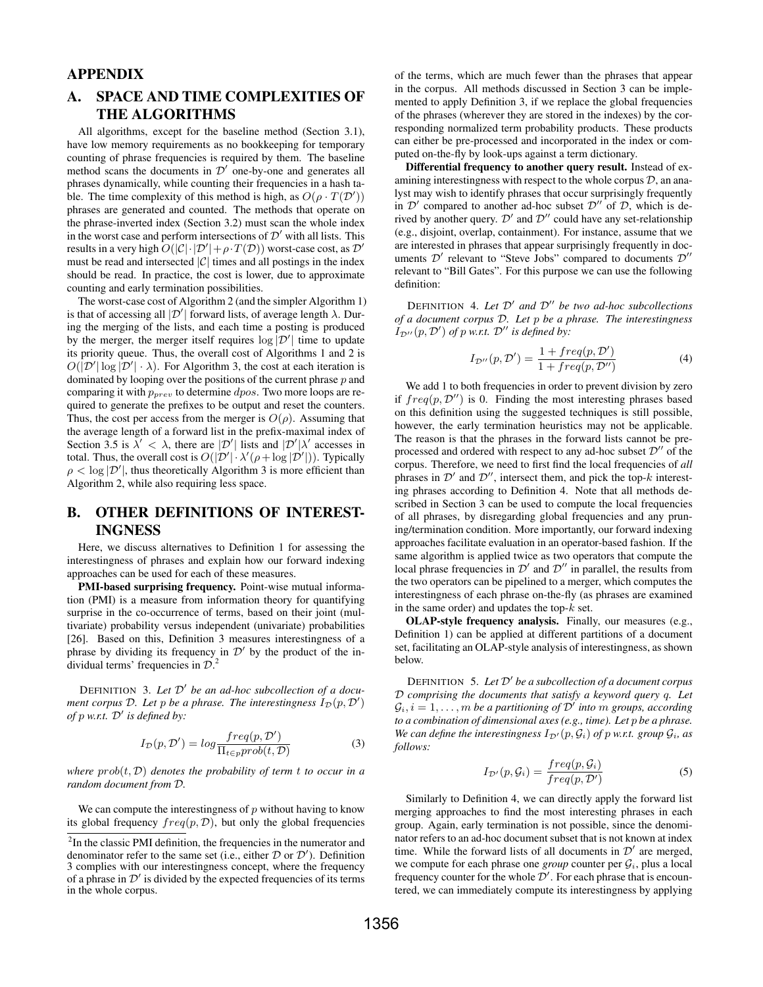# APPENDIX

# A. SPACE AND TIME COMPLEXITIES OF THE ALGORITHMS

All algorithms, except for the baseline method (Section 3.1), have low memory requirements as no bookkeeping for temporary counting of phrase frequencies is required by them. The baseline method scans the documents in  $\mathcal{D}'$  one-by-one and generates all phrases dynamically, while counting their frequencies in a hash table. The time complexity of this method is high, as  $O(\rho \cdot T(\mathcal{D}'))$ phrases are generated and counted. The methods that operate on the phrase-inverted index (Section 3.2) must scan the whole index in the worst case and perform intersections of  $\mathcal{D}'$  with all lists. This results in a very high  $O(|\mathcal{C}| \cdot |\mathcal{D}'| + \rho \cdot T(\mathcal{D}))$  worst-case cost, as  $\mathcal{D}'$ must be read and intersected  $|\mathcal{C}|$  times and all postings in the index should be read. In practice, the cost is lower, due to approximate counting and early termination possibilities.

The worst-case cost of Algorithm 2 (and the simpler Algorithm 1) is that of accessing all  $|\mathcal{D}'|$  forward lists, of average length  $\lambda$ . During the merging of the lists, and each time a posting is produced by the merger, the merger itself requires  $\log |\mathcal{D}'|$  time to update its priority queue. Thus, the overall cost of Algorithms 1 and 2 is  $O(|\mathcal{D}'| \log |\mathcal{D}'| \cdot \lambda)$ . For Algorithm 3, the cost at each iteration is dominated by looping over the positions of the current phrase  $p$  and comparing it with p*prev* to determine dpos. Two more loops are required to generate the prefixes to be output and reset the counters. Thus, the cost per access from the merger is  $O(\rho)$ . Assuming that the average length of a forward list in the prefix-maximal index of Section 3.5 is  $\lambda' < \lambda$ , there are  $|\mathcal{D}'|$  lists and  $|\mathcal{D}'| \lambda'$  accesses in total. Thus, the overall cost is  $O(|\mathcal{D}'| \cdot \lambda'(\rho + \log |\mathcal{D}'|))$ . Typically  $\rho < \log |\mathcal{D}'|$ , thus theoretically Algorithm 3 is more efficient than Algorithm 2, while also requiring less space.

# B. OTHER DEFINITIONS OF INTEREST-INGNESS

Here, we discuss alternatives to Definition 1 for assessing the interestingness of phrases and explain how our forward indexing approaches can be used for each of these measures.

PMI-based surprising frequency. Point-wise mutual information (PMI) is a measure from information theory for quantifying surprise in the co-occurrence of terms, based on their joint (multivariate) probability versus independent (univariate) probabilities [26]. Based on this, Definition 3 measures interestingness of a phrase by dividing its frequency in  $\mathcal{D}'$  by the product of the individual terms' frequencies in  $\mathcal{D}^2$ .

DEFINITION 3. *Let* D" *be an ad-hoc subcollection of a document corpus*  $D$ *. Let*  $p$  *be a phrase. The interestingness*  $I_D(p, D')$ *of*  $p$  *w.r.t.*  $D'$  *is defined by:* 

$$
I_{\mathcal{D}}(p, \mathcal{D}') = \log \frac{freq(p, \mathcal{D}')}{\Pi_{t \in p} \text{prob}(t, \mathcal{D})}
$$
(3)

*where*  $prob(t, D)$  *denotes the probability of term t to occur in a random document from* D*.*

We can compute the interestingness of  $p$  without having to know its global frequency  $freq(p, D)$ , but only the global frequencies of the terms, which are much fewer than the phrases that appear in the corpus. All methods discussed in Section 3 can be implemented to apply Definition 3, if we replace the global frequencies of the phrases (wherever they are stored in the indexes) by the corresponding normalized term probability products. These products can either be pre-processed and incorporated in the index or computed on-the-fly by look-ups against a term dictionary.

Differential frequency to another query result. Instead of examining interestingness with respect to the whole corpus  $D$ , an analyst may wish to identify phrases that occur surprisingly frequently in  $\mathcal{D}'$  compared to another ad-hoc subset  $\mathcal{D}''$  of  $\mathcal{D}$ , which is derived by another query.  $\mathcal{D}'$  and  $\mathcal{D}''$  could have any set-relationship (e.g., disjoint, overlap, containment). For instance, assume that we are interested in phrases that appear surprisingly frequently in documents  $\mathcal{D}'$  relevant to "Steve Jobs" compared to documents  $\mathcal{D}''$ relevant to "Bill Gates". For this purpose we can use the following definition:

DEFINITION 4. *Let* D" *and* D"" *be two ad-hoc subcollections of a document corpus* D*. Let* p *be a phrase. The interestingness*  $I_{\mathcal{D}''}(p, \mathcal{D}')$  of p w.r.t.  $\mathcal{D}''$  is defined by:

$$
I_{\mathcal{D}''}(p, \mathcal{D}') = \frac{1 + freq(p, \mathcal{D}')}{1 + freq(p, \mathcal{D}'')} \tag{4}
$$

We add 1 to both frequencies in order to prevent division by zero if  $freq(p, D'')$  is 0. Finding the most interesting phrases based on this definition using the suggested techniques is still possible, however, the early termination heuristics may not be applicable. The reason is that the phrases in the forward lists cannot be preprocessed and ordered with respect to any ad-hoc subset  $\mathcal{D}''$  of the corpus. Therefore, we need to first find the local frequencies of *all* phrases in  $\mathcal{D}'$  and  $\mathcal{D}''$ , intersect them, and pick the top-k interesting phrases according to Definition 4. Note that all methods described in Section 3 can be used to compute the local frequencies of all phrases, by disregarding global frequencies and any pruning/termination condition. More importantly, our forward indexing approaches facilitate evaluation in an operator-based fashion. If the same algorithm is applied twice as two operators that compute the local phrase frequencies in  $\mathcal{D}'$  and  $\mathcal{D}''$  in parallel, the results from the two operators can be pipelined to a merger, which computes the interestingness of each phrase on-the-fly (as phrases are examined in the same order) and updates the top- $k$  set.

OLAP-style frequency analysis. Finally, our measures (e.g., Definition 1) can be applied at different partitions of a document set, facilitating an OLAP-style analysis of interestingness, as shown below.

DEFINITION 5. *Let* D" *be a subcollection of a document corpus* D *comprising the documents that satisfy a keyword query* q*. Let*  $\mathcal{G}_i$ ,  $i = 1, \ldots, m$  *be a partitioning of*  $\mathcal{D}'$  *into* m *groups, according to a combination of dimensional axes (e.g., time). Let* p *be a phrase. We can define the interestingness*  $I_{\mathcal{D}'}(p, \mathcal{G}_i)$  *of* p *w.r.t. group*  $\mathcal{G}_i$ *, as follows:*

$$
I_{\mathcal{D}'}(p,\mathcal{G}_i) = \frac{freq(p,\mathcal{G}_i)}{freq(p,\mathcal{D}')}\tag{5}
$$

Similarly to Definition 4, we can directly apply the forward list merging approaches to find the most interesting phrases in each group. Again, early termination is not possible, since the denominator refers to an ad-hoc document subset that is not known at index time. While the forward lists of all documents in  $\mathcal{D}'$  are merged, we compute for each phrase one *group* counter per  $G_i$ , plus a local frequency counter for the whole  $\mathcal{D}'$ . For each phrase that is encountered, we can immediately compute its interestingness by applying

<sup>&</sup>lt;sup>2</sup>In the classic PMI definition, the frequencies in the numerator and denominator refer to the same set (i.e., either  $\mathcal D$  or  $\mathcal D'$ ). Definition 3 complies with our interestingness concept, where the frequency of a phrase in  $\mathcal{D}'$  is divided by the expected frequencies of its terms in the whole corpus.